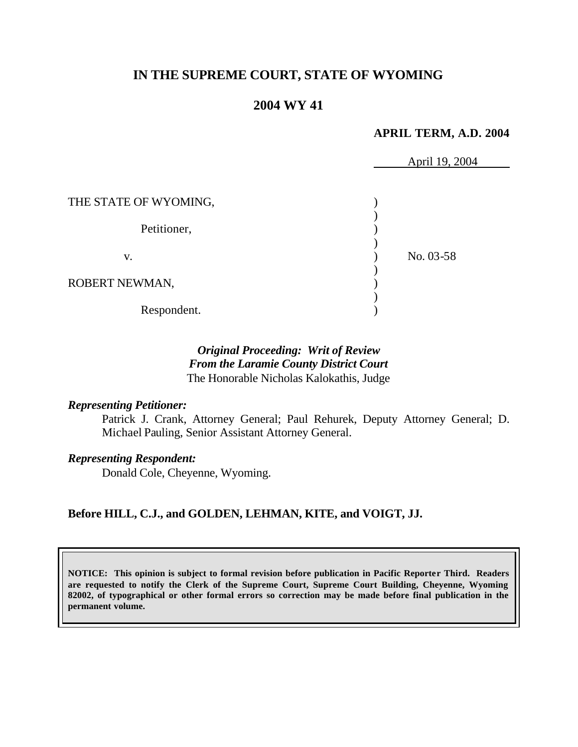# **IN THE SUPREME COURT, STATE OF WYOMING**

# **2004 WY 41**

#### **APRIL TERM, A.D. 2004**

|                       | April 19, 2004 |  |
|-----------------------|----------------|--|
|                       |                |  |
| THE STATE OF WYOMING, |                |  |
| Petitioner,           |                |  |
| V.                    | No. 03-58      |  |
| ROBERT NEWMAN,        |                |  |
| Respondent.           |                |  |

# *Original Proceeding: Writ of Review From the Laramie County District Court* The Honorable Nicholas Kalokathis, Judge

#### *Representing Petitioner:*

Patrick J. Crank, Attorney General; Paul Rehurek, Deputy Attorney General; D. Michael Pauling, Senior Assistant Attorney General.

#### *Representing Respondent:*

Donald Cole, Cheyenne, Wyoming.

#### **Before HILL, C.J., and GOLDEN, LEHMAN, KITE, and VOIGT, JJ.**

**NOTICE: This opinion is subject to formal revision before publication in Pacific Reporter Third. Readers are requested to notify the Clerk of the Supreme Court, Supreme Court Building, Cheyenne, Wyoming 82002, of typographical or other formal errors so correction may be made before final publication in the permanent volume.**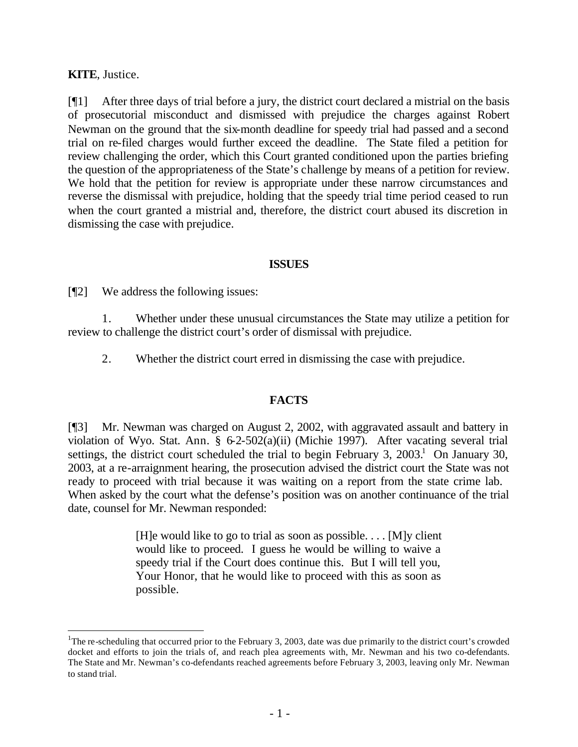## **KITE**, Justice.

l

[¶1] After three days of trial before a jury, the district court declared a mistrial on the basis of prosecutorial misconduct and dismissed with prejudice the charges against Robert Newman on the ground that the six-month deadline for speedy trial had passed and a second trial on re-filed charges would further exceed the deadline. The State filed a petition for review challenging the order, which this Court granted conditioned upon the parties briefing the question of the appropriateness of the State's challenge by means of a petition for review. We hold that the petition for review is appropriate under these narrow circumstances and reverse the dismissal with prejudice, holding that the speedy trial time period ceased to run when the court granted a mistrial and, therefore, the district court abused its discretion in dismissing the case with prejudice.

#### **ISSUES**

[¶2] We address the following issues:

1. Whether under these unusual circumstances the State may utilize a petition for review to challenge the district court's order of dismissal with prejudice.

2. Whether the district court erred in dismissing the case with prejudice.

#### **FACTS**

[¶3] Mr. Newman was charged on August 2, 2002, with aggravated assault and battery in violation of Wyo. Stat. Ann. § 6-2-502(a)(ii) (Michie 1997). After vacating several trial settings, the district court scheduled the trial to begin February 3,  $2003<sup>1</sup>$  On January 30, 2003, at a re-arraignment hearing, the prosecution advised the district court the State was not ready to proceed with trial because it was waiting on a report from the state crime lab. When asked by the court what the defense's position was on another continuance of the trial date, counsel for Mr. Newman responded:

> [H]e would like to go to trial as soon as possible.  $\dots$  [M]y client would like to proceed. I guess he would be willing to waive a speedy trial if the Court does continue this. But I will tell you, Your Honor, that he would like to proceed with this as soon as possible.

<sup>&</sup>lt;sup>1</sup>The re-scheduling that occurred prior to the February 3, 2003, date was due primarily to the district court's crowded docket and efforts to join the trials of, and reach plea agreements with, Mr. Newman and his two co-defendants. The State and Mr. Newman's co-defendants reached agreements before February 3, 2003, leaving only Mr. Newman to stand trial.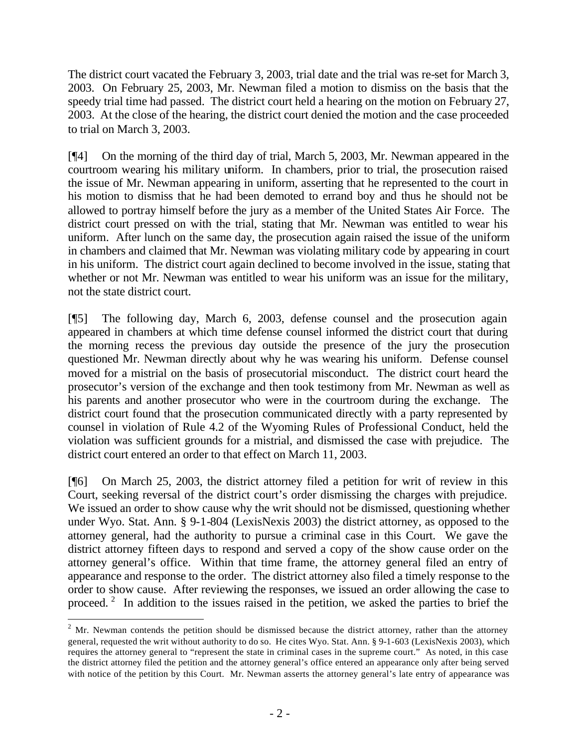The district court vacated the February 3, 2003, trial date and the trial was re-set for March 3, 2003. On February 25, 2003, Mr. Newman filed a motion to dismiss on the basis that the speedy trial time had passed. The district court held a hearing on the motion on February 27, 2003. At the close of the hearing, the district court denied the motion and the case proceeded to trial on March 3, 2003.

[¶4] On the morning of the third day of trial, March 5, 2003, Mr. Newman appeared in the courtroom wearing his military uniform. In chambers, prior to trial, the prosecution raised the issue of Mr. Newman appearing in uniform, asserting that he represented to the court in his motion to dismiss that he had been demoted to errand boy and thus he should not be allowed to portray himself before the jury as a member of the United States Air Force. The district court pressed on with the trial, stating that Mr. Newman was entitled to wear his uniform. After lunch on the same day, the prosecution again raised the issue of the uniform in chambers and claimed that Mr. Newman was violating military code by appearing in court in his uniform. The district court again declined to become involved in the issue, stating that whether or not Mr. Newman was entitled to wear his uniform was an issue for the military, not the state district court.

[¶5] The following day, March 6, 2003, defense counsel and the prosecution again appeared in chambers at which time defense counsel informed the district court that during the morning recess the previous day outside the presence of the jury the prosecution questioned Mr. Newman directly about why he was wearing his uniform. Defense counsel moved for a mistrial on the basis of prosecutorial misconduct. The district court heard the prosecutor's version of the exchange and then took testimony from Mr. Newman as well as his parents and another prosecutor who were in the courtroom during the exchange. The district court found that the prosecution communicated directly with a party represented by counsel in violation of Rule 4.2 of the Wyoming Rules of Professional Conduct, held the violation was sufficient grounds for a mistrial, and dismissed the case with prejudice. The district court entered an order to that effect on March 11, 2003.

[¶6] On March 25, 2003, the district attorney filed a petition for writ of review in this Court, seeking reversal of the district court's order dismissing the charges with prejudice. We issued an order to show cause why the writ should not be dismissed, questioning whether under Wyo. Stat. Ann. § 9-1-804 (LexisNexis 2003) the district attorney, as opposed to the attorney general, had the authority to pursue a criminal case in this Court. We gave the district attorney fifteen days to respond and served a copy of the show cause order on the attorney general's office. Within that time frame, the attorney general filed an entry of appearance and response to the order. The district attorney also filed a timely response to the order to show cause. After reviewing the responses, we issued an order allowing the case to proceed.<sup>2</sup> In addition to the issues raised in the petition, we asked the parties to brief the

l

 $2$  Mr. Newman contends the petition should be dismissed because the district attorney, rather than the attorney general, requested the writ without authority to do so. He cites Wyo. Stat. Ann. § 9-1-603 (LexisNexis 2003), which requires the attorney general to "represent the state in criminal cases in the supreme court." As noted, in this case the district attorney filed the petition and the attorney general's office entered an appearance only after being served with notice of the petition by this Court. Mr. Newman asserts the attorney general's late entry of appearance was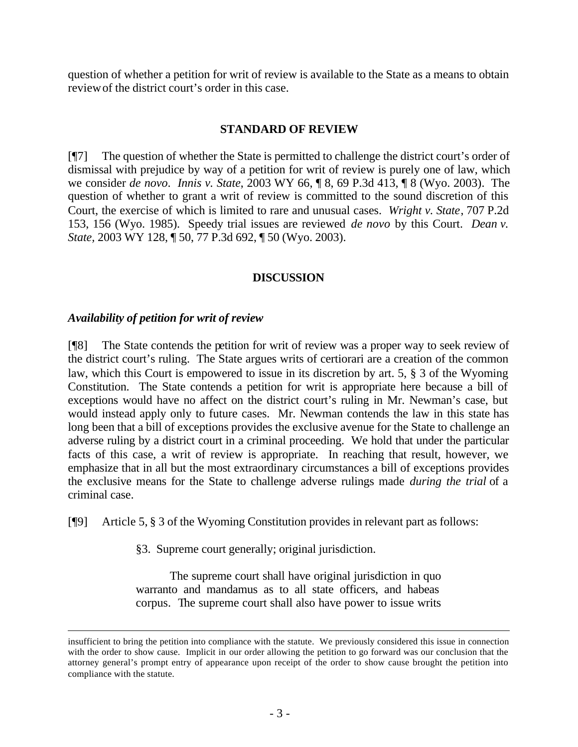question of whether a petition for writ of review is available to the State as a means to obtain review of the district court's order in this case.

### **STANDARD OF REVIEW**

[¶7] The question of whether the State is permitted to challenge the district court's order of dismissal with prejudice by way of a petition for writ of review is purely one of law, which we consider *de novo*. *Innis v. State*, 2003 WY 66, ¶ 8, 69 P.3d 413, ¶ 8 (Wyo. 2003). The question of whether to grant a writ of review is committed to the sound discretion of this Court, the exercise of which is limited to rare and unusual cases. *Wright v. State*, 707 P.2d 153, 156 (Wyo. 1985). Speedy trial issues are reviewed *de novo* by this Court. *Dean v. State,* 2003 WY 128, ¶ 50, 77 P.3d 692, ¶ 50 (Wyo. 2003).

## **DISCUSSION**

## *Availability of petition for writ of review*

l

[¶8] The State contends the petition for writ of review was a proper way to seek review of the district court's ruling. The State argues writs of certiorari are a creation of the common law, which this Court is empowered to issue in its discretion by art. 5, § 3 of the Wyoming Constitution. The State contends a petition for writ is appropriate here because a bill of exceptions would have no affect on the district court's ruling in Mr. Newman's case, but would instead apply only to future cases. Mr. Newman contends the law in this state has long been that a bill of exceptions provides the exclusive avenue for the State to challenge an adverse ruling by a district court in a criminal proceeding. We hold that under the particular facts of this case, a writ of review is appropriate. In reaching that result, however, we emphasize that in all but the most extraordinary circumstances a bill of exceptions provides the exclusive means for the State to challenge adverse rulings made *during the trial* of a criminal case.

[¶9] Article 5, § 3 of the Wyoming Constitution provides in relevant part as follows:

§3. Supreme court generally; original jurisdiction.

The supreme court shall have original jurisdiction in quo warranto and mandamus as to all state officers, and habeas corpus. The supreme court shall also have power to issue writs

insufficient to bring the petition into compliance with the statute. We previously considered this issue in connection with the order to show cause. Implicit in our order allowing the petition to go forward was our conclusion that the attorney general's prompt entry of appearance upon receipt of the order to show cause brought the petition into compliance with the statute.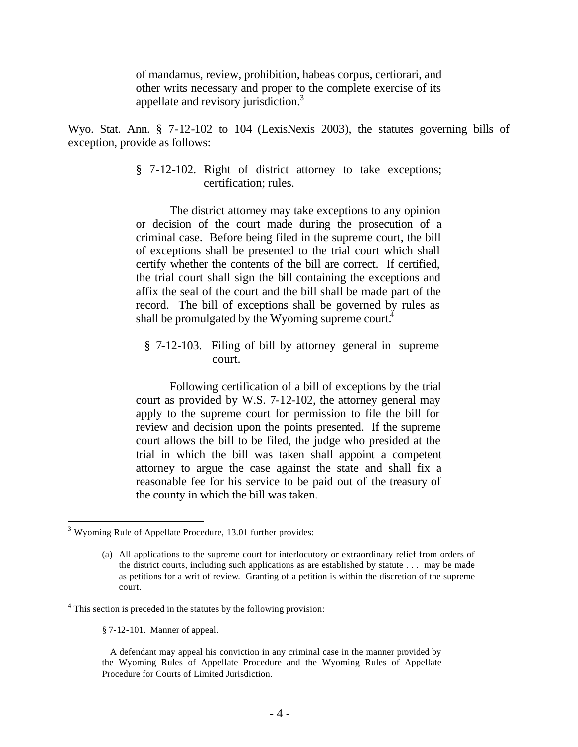of mandamus, review, prohibition, habeas corpus, certiorari, and other writs necessary and proper to the complete exercise of its appellate and revisory jurisdiction.<sup>3</sup>

Wyo. Stat. Ann. § 7-12-102 to 104 (LexisNexis 2003), the statutes governing bills of exception, provide as follows:

> § 7-12-102. Right of district attorney to take exceptions; certification; rules.

> The district attorney may take exceptions to any opinion or decision of the court made during the prosecution of a criminal case. Before being filed in the supreme court, the bill of exceptions shall be presented to the trial court which shall certify whether the contents of the bill are correct. If certified, the trial court shall sign the bill containing the exceptions and affix the seal of the court and the bill shall be made part of the record. The bill of exceptions shall be governed by rules as shall be promulgated by the Wyoming supreme court.<sup>4</sup>

§ 7-12-103. Filing of bill by attorney general in supreme court.

Following certification of a bill of exceptions by the trial court as provided by W.S. 7-12-102, the attorney general may apply to the supreme court for permission to file the bill for review and decision upon the points presented. If the supreme court allows the bill to be filed, the judge who presided at the trial in which the bill was taken shall appoint a competent attorney to argue the case against the state and shall fix a reasonable fee for his service to be paid out of the treasury of the county in which the bill was taken.

l

<sup>&</sup>lt;sup>3</sup> Wyoming Rule of Appellate Procedure, 13.01 further provides:

<sup>(</sup>a) All applications to the supreme court for interlocutory or extraordinary relief from orders of the district courts, including such applications as are established by statute . . . may be made as petitions for a writ of review. Granting of a petition is within the discretion of the supreme court.

<sup>&</sup>lt;sup>4</sup> This section is preceded in the statutes by the following provision:

<sup>§ 7-12-101.</sup> Manner of appeal.

A defendant may appeal his conviction in any criminal case in the manner provided by the Wyoming Rules of Appellate Procedure and the Wyoming Rules of Appellate Procedure for Courts of Limited Jurisdiction.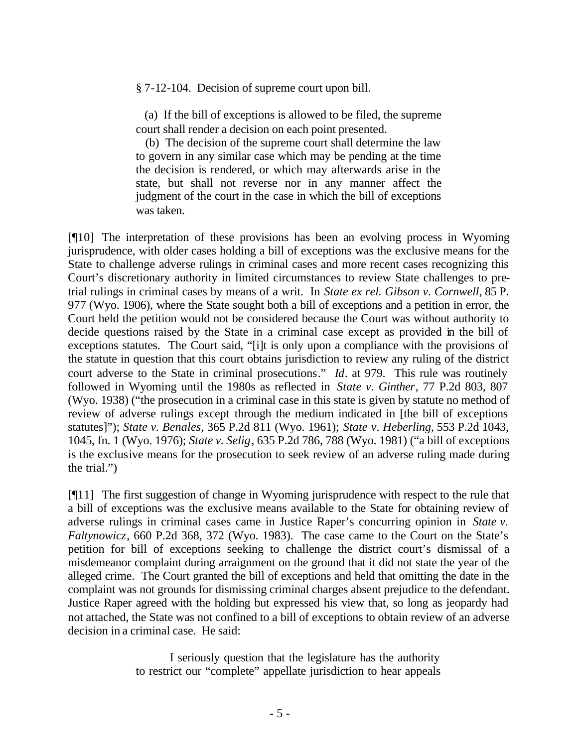§ 7-12-104. Decision of supreme court upon bill.

 (a) If the bill of exceptions is allowed to be filed, the supreme court shall render a decision on each point presented.

 (b) The decision of the supreme court shall determine the law to govern in any similar case which may be pending at the time the decision is rendered, or which may afterwards arise in the state, but shall not reverse nor in any manner affect the judgment of the court in the case in which the bill of exceptions was taken.

[¶10] The interpretation of these provisions has been an evolving process in Wyoming jurisprudence, with older cases holding a bill of exceptions was the exclusive means for the State to challenge adverse rulings in criminal cases and more recent cases recognizing this Court's discretionary authority in limited circumstances to review State challenges to pretrial rulings in criminal cases by means of a writ. In *State ex rel. Gibson v. Cornwell*, 85 P. 977 (Wyo. 1906), where the State sought both a bill of exceptions and a petition in error, the Court held the petition would not be considered because the Court was without authority to decide questions raised by the State in a criminal case except as provided in the bill of exceptions statutes. The Court said, "[i]t is only upon a compliance with the provisions of the statute in question that this court obtains jurisdiction to review any ruling of the district court adverse to the State in criminal prosecutions." *Id*. at 979. This rule was routinely followed in Wyoming until the 1980s as reflected in *State v. Ginther*, 77 P.2d 803, 807 (Wyo. 1938) ("the prosecution in a criminal case in this state is given by statute no method of review of adverse rulings except through the medium indicated in [the bill of exceptions statutes]"); *State v. Benales*, 365 P.2d 811 (Wyo. 1961); *State v*. *Heberling*, 553 P.2d 1043, 1045, fn. 1 (Wyo. 1976); *State v. Selig*, 635 P.2d 786, 788 (Wyo. 1981) ("a bill of exceptions is the exclusive means for the prosecution to seek review of an adverse ruling made during the trial.")

[¶11] The first suggestion of change in Wyoming jurisprudence with respect to the rule that a bill of exceptions was the exclusive means available to the State for obtaining review of adverse rulings in criminal cases came in Justice Raper's concurring opinion in *State v. Faltynowicz*, 660 P.2d 368, 372 (Wyo. 1983). The case came to the Court on the State's petition for bill of exceptions seeking to challenge the district court's dismissal of a misdemeanor complaint during arraignment on the ground that it did not state the year of the alleged crime. The Court granted the bill of exceptions and held that omitting the date in the complaint was not grounds for dismissing criminal charges absent prejudice to the defendant. Justice Raper agreed with the holding but expressed his view that, so long as jeopardy had not attached, the State was not confined to a bill of exceptions to obtain review of an adverse decision in a criminal case. He said:

> I seriously question that the legislature has the authority to restrict our "complete" appellate jurisdiction to hear appeals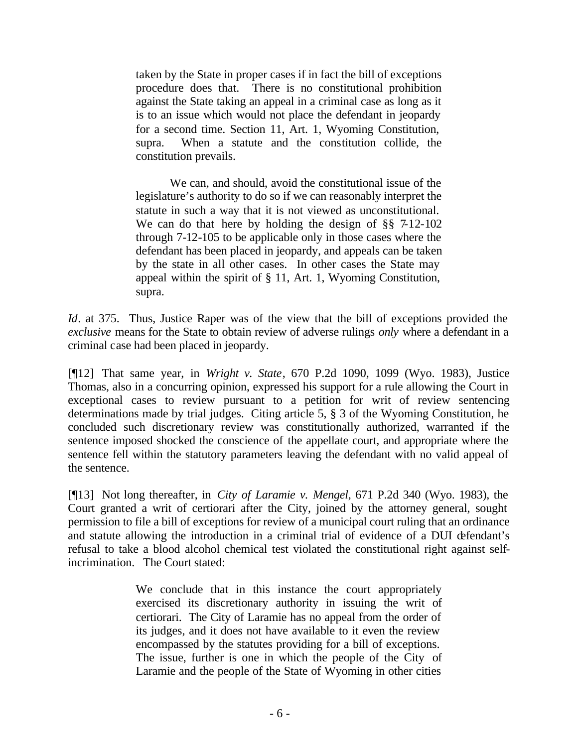taken by the State in proper cases if in fact the bill of exceptions procedure does that. There is no constitutional prohibition against the State taking an appeal in a criminal case as long as it is to an issue which would not place the defendant in jeopardy for a second time. Section 11, Art. 1, Wyoming Constitution, supra. When a statute and the constitution collide, the constitution prevails.

We can, and should, avoid the constitutional issue of the legislature's authority to do so if we can reasonably interpret the statute in such a way that it is not viewed as unconstitutional. We can do that here by holding the design of §§ 7-12-102 through 7-12-105 to be applicable only in those cases where the defendant has been placed in jeopardy, and appeals can be taken by the state in all other cases. In other cases the State may appeal within the spirit of § 11, Art. 1, Wyoming Constitution, supra.

*Id*. at 375. Thus, Justice Raper was of the view that the bill of exceptions provided the *exclusive* means for the State to obtain review of adverse rulings *only* where a defendant in a criminal case had been placed in jeopardy.

[¶12] That same year, in *Wright v. State*, 670 P.2d 1090, 1099 (Wyo. 1983), Justice Thomas, also in a concurring opinion, expressed his support for a rule allowing the Court in exceptional cases to review pursuant to a petition for writ of review sentencing determinations made by trial judges. Citing article 5, § 3 of the Wyoming Constitution, he concluded such discretionary review was constitutionally authorized, warranted if the sentence imposed shocked the conscience of the appellate court, and appropriate where the sentence fell within the statutory parameters leaving the defendant with no valid appeal of the sentence.

[¶13] Not long thereafter, in *City of Laramie v. Mengel*, 671 P.2d 340 (Wyo. 1983), the Court granted a writ of certiorari after the City, joined by the attorney general, sought permission to file a bill of exceptions for review of a municipal court ruling that an ordinance and statute allowing the introduction in a criminal trial of evidence of a DUI defendant's refusal to take a blood alcohol chemical test violated the constitutional right against selfincrimination. The Court stated:

> We conclude that in this instance the court appropriately exercised its discretionary authority in issuing the writ of certiorari. The City of Laramie has no appeal from the order of its judges, and it does not have available to it even the review encompassed by the statutes providing for a bill of exceptions. The issue, further is one in which the people of the City of Laramie and the people of the State of Wyoming in other cities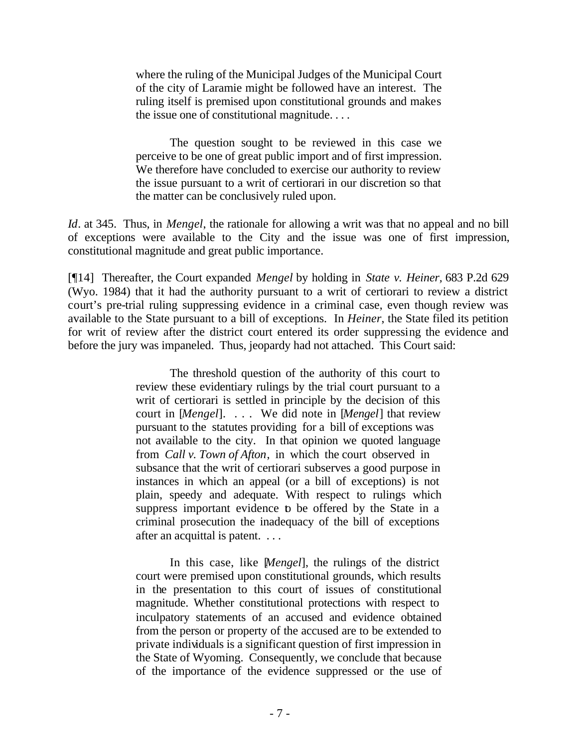where the ruling of the Municipal Judges of the Municipal Court of the city of Laramie might be followed have an interest. The ruling itself is premised upon constitutional grounds and makes the issue one of constitutional magnitude. . . .

The question sought to be reviewed in this case we perceive to be one of great public import and of first impression. We therefore have concluded to exercise our authority to review the issue pursuant to a writ of certiorari in our discretion so that the matter can be conclusively ruled upon.

*Id*. at 345. Thus, in *Mengel*, the rationale for allowing a writ was that no appeal and no bill of exceptions were available to the City and the issue was one of first impression, constitutional magnitude and great public importance.

[¶14] Thereafter, the Court expanded *Mengel* by holding in *State v. Heiner,* 683 P.2d 629 (Wyo. 1984) that it had the authority pursuant to a writ of certiorari to review a district court's pre-trial ruling suppressing evidence in a criminal case, even though review was available to the State pursuant to a bill of exceptions. In *Heiner*, the State filed its petition for writ of review after the district court entered its order suppressing the evidence and before the jury was impaneled. Thus, jeopardy had not attached. This Court said:

> The threshold question of the authority of this court to review these evidentiary rulings by the trial court pursuant to a writ of certiorari is settled in principle by the decision of this court in [*Mengel*]. . . . We did note in [*Mengel*] that review pursuant to the statutes providing for a bill of exceptions was not available to the city. In that opinion we quoted language from *Call v. Town of Afton*, in which the court observed in subsance that the writ of certiorari subserves a good purpose in instances in which an appeal (or a bill of exceptions) is not plain, speedy and adequate. With respect to rulings which suppress important evidence to be offered by the State in a criminal prosecution the inadequacy of the bill of exceptions after an acquittal is patent. . . .

> In this case, like [*Mengel*], the rulings of the district court were premised upon constitutional grounds, which results in the presentation to this court of issues of constitutional magnitude. Whether constitutional protections with respect to inculpatory statements of an accused and evidence obtained from the person or property of the accused are to be extended to private individuals is a significant question of first impression in the State of Wyoming. Consequently, we conclude that because of the importance of the evidence suppressed or the use of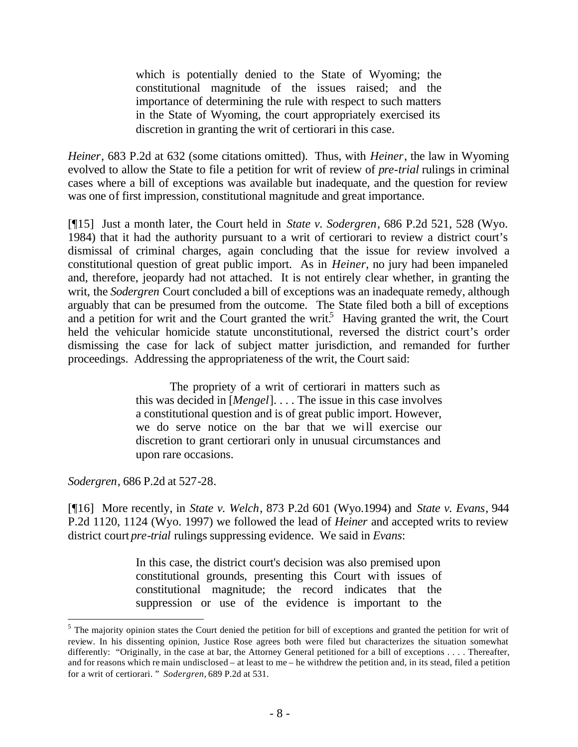which is potentially denied to the State of Wyoming; the constitutional magnitude of the issues raised; and the importance of determining the rule with respect to such matters in the State of Wyoming, the court appropriately exercised its discretion in granting the writ of certiorari in this case.

*Heiner*, 683 P.2d at 632 (some citations omitted). Thus, with *Heiner*, the law in Wyoming evolved to allow the State to file a petition for writ of review of *pre-trial* rulings in criminal cases where a bill of exceptions was available but inadequate, and the question for review was one of first impression, constitutional magnitude and great importance.

[¶15] Just a month later, the Court held in *State v. Sodergren*, 686 P.2d 521, 528 (Wyo. 1984) that it had the authority pursuant to a writ of certiorari to review a district court's dismissal of criminal charges, again concluding that the issue for review involved a constitutional question of great public import. As in *Heiner*, no jury had been impaneled and, therefore, jeopardy had not attached. It is not entirely clear whether, in granting the writ, the *Sodergren* Court concluded a bill of exceptions was an inadequate remedy, although arguably that can be presumed from the outcome. The State filed both a bill of exceptions and a petition for writ and the Court granted the writ.<sup>5</sup> Having granted the writ, the Court held the vehicular homicide statute unconstitutional, reversed the district court's order dismissing the case for lack of subject matter jurisdiction, and remanded for further proceedings. Addressing the appropriateness of the writ, the Court said:

> The propriety of a writ of certiorari in matters such as this was decided in [*Mengel*]. . . . The issue in this case involves a constitutional question and is of great public import. However, we do serve notice on the bar that we will exercise our discretion to grant certiorari only in unusual circumstances and upon rare occasions.

*Sodergren*, 686 P.2d at 527-28.

l

[¶16] More recently, in *State v. Welch*, 873 P.2d 601 (Wyo.1994) and *State v. Evans*, 944 P.2d 1120, 1124 (Wyo. 1997) we followed the lead of *Heiner* and accepted writs to review district court *pre-trial* rulings suppressing evidence. We said in *Evans*:

> In this case, the district court's decision was also premised upon constitutional grounds, presenting this Court with issues of constitutional magnitude; the record indicates that the suppression or use of the evidence is important to the

<sup>&</sup>lt;sup>5</sup> The majority opinion states the Court denied the petition for bill of exceptions and granted the petition for writ of review. In his dissenting opinion, Justice Rose agrees both were filed but characterizes the situation somewhat differently: "Originally, in the case at bar, the Attorney General petitioned for a bill of exceptions . . . . Thereafter, and for reasons which re main undisclosed – at least to me – he withdrew the petition and, in its stead, filed a petition for a writ of certiorari. " *Sodergren,* 689 P.2d at 531.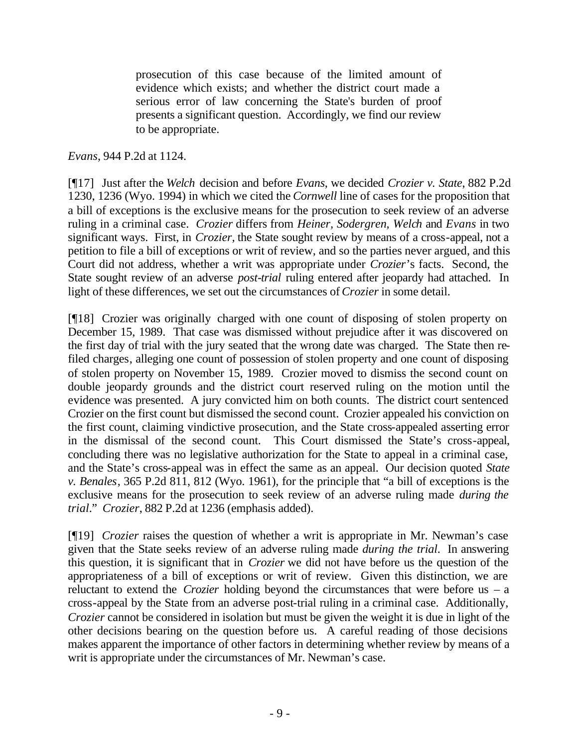prosecution of this case because of the limited amount of evidence which exists; and whether the district court made a serious error of law concerning the State's burden of proof presents a significant question. Accordingly, we find our review to be appropriate.

### *Evans*, 944 P.2d at 1124.

[¶17] Just after the *Welch* decision and before *Evans*, we decided *Crozier v. State*, 882 P.2d 1230, 1236 (Wyo. 1994) in which we cited the *Cornwell* line of cases for the proposition that a bill of exceptions is the exclusive means for the prosecution to seek review of an adverse ruling in a criminal case. *Crozier* differs from *Heiner, Sodergren, Welch* and *Evans* in two significant ways. First, in *Crozier,* the State sought review by means of a cross-appeal, not a petition to file a bill of exceptions or writ of review, and so the parties never argued, and this Court did not address, whether a writ was appropriate under *Crozier*'s facts. Second, the State sought review of an adverse *post-trial* ruling entered after jeopardy had attached. In light of these differences, we set out the circumstances of *Crozier* in some detail.

[¶18] Crozier was originally charged with one count of disposing of stolen property on December 15, 1989. That case was dismissed without prejudice after it was discovered on the first day of trial with the jury seated that the wrong date was charged. The State then refiled charges, alleging one count of possession of stolen property and one count of disposing of stolen property on November 15, 1989. Crozier moved to dismiss the second count on double jeopardy grounds and the district court reserved ruling on the motion until the evidence was presented. A jury convicted him on both counts. The district court sentenced Crozier on the first count but dismissed the second count. Crozier appealed his conviction on the first count, claiming vindictive prosecution, and the State cross-appealed asserting error in the dismissal of the second count. This Court dismissed the State's cross-appeal, concluding there was no legislative authorization for the State to appeal in a criminal case, and the State's cross-appeal was in effect the same as an appeal. Our decision quoted *State v. Benales*, 365 P.2d 811, 812 (Wyo. 1961), for the principle that "a bill of exceptions is the exclusive means for the prosecution to seek review of an adverse ruling made *during the trial*." *Crozier*, 882 P.2d at 1236 (emphasis added).

[¶19] *Crozier* raises the question of whether a writ is appropriate in Mr. Newman's case given that the State seeks review of an adverse ruling made *during the trial*. In answering this question, it is significant that in *Crozier* we did not have before us the question of the appropriateness of a bill of exceptions or writ of review. Given this distinction, we are reluctant to extend the *Crozier* holding beyond the circumstances that were before us – a cross-appeal by the State from an adverse post-trial ruling in a criminal case. Additionally, *Crozier* cannot be considered in isolation but must be given the weight it is due in light of the other decisions bearing on the question before us. A careful reading of those decisions makes apparent the importance of other factors in determining whether review by means of a writ is appropriate under the circumstances of Mr. Newman's case.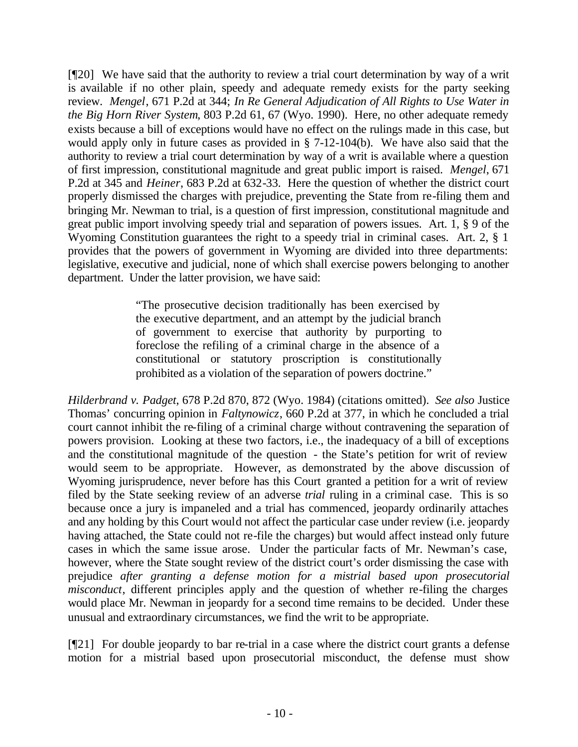[¶20] We have said that the authority to review a trial court determination by way of a writ is available if no other plain, speedy and adequate remedy exists for the party seeking review. *Mengel*, 671 P.2d at 344; *In Re General Adjudication of All Rights to Use Water in the Big Horn River System*, 803 P.2d 61, 67 (Wyo. 1990). Here, no other adequate remedy exists because a bill of exceptions would have no effect on the rulings made in this case, but would apply only in future cases as provided in § 7-12-104(b). We have also said that the authority to review a trial court determination by way of a writ is available where a question of first impression, constitutional magnitude and great public import is raised. *Mengel*, 671 P.2d at 345 and *Heiner*, 683 P.2d at 632-33. Here the question of whether the district court properly dismissed the charges with prejudice, preventing the State from re-filing them and bringing Mr. Newman to trial, is a question of first impression, constitutional magnitude and great public import involving speedy trial and separation of powers issues. Art. 1, § 9 of the Wyoming Constitution guarantees the right to a speedy trial in criminal cases. Art. 2, § 1 provides that the powers of government in Wyoming are divided into three departments: legislative, executive and judicial, none of which shall exercise powers belonging to another department. Under the latter provision, we have said:

> "The prosecutive decision traditionally has been exercised by the executive department, and an attempt by the judicial branch of government to exercise that authority by purporting to foreclose the refiling of a criminal charge in the absence of a constitutional or statutory proscription is constitutionally prohibited as a violation of the separation of powers doctrine."

*Hilderbrand v. Padget*, 678 P.2d 870, 872 (Wyo. 1984) (citations omitted). *See also* Justice Thomas' concurring opinion in *Faltynowicz*, 660 P.2d at 377, in which he concluded a trial court cannot inhibit the re-filing of a criminal charge without contravening the separation of powers provision. Looking at these two factors, i.e., the inadequacy of a bill of exceptions and the constitutional magnitude of the question - the State's petition for writ of review would seem to be appropriate. However, as demonstrated by the above discussion of Wyoming jurisprudence, never before has this Court granted a petition for a writ of review filed by the State seeking review of an adverse *trial* ruling in a criminal case. This is so because once a jury is impaneled and a trial has commenced, jeopardy ordinarily attaches and any holding by this Court would not affect the particular case under review (i.e. jeopardy having attached, the State could not re-file the charges) but would affect instead only future cases in which the same issue arose. Under the particular facts of Mr. Newman's case, however, where the State sought review of the district court's order dismissing the case with prejudice *after granting a defense motion for a mistrial based upon prosecutorial misconduct*, different principles apply and the question of whether re-filing the charges would place Mr. Newman in jeopardy for a second time remains to be decided. Under these unusual and extraordinary circumstances, we find the writ to be appropriate.

[¶21] For double jeopardy to bar re-trial in a case where the district court grants a defense motion for a mistrial based upon prosecutorial misconduct, the defense must show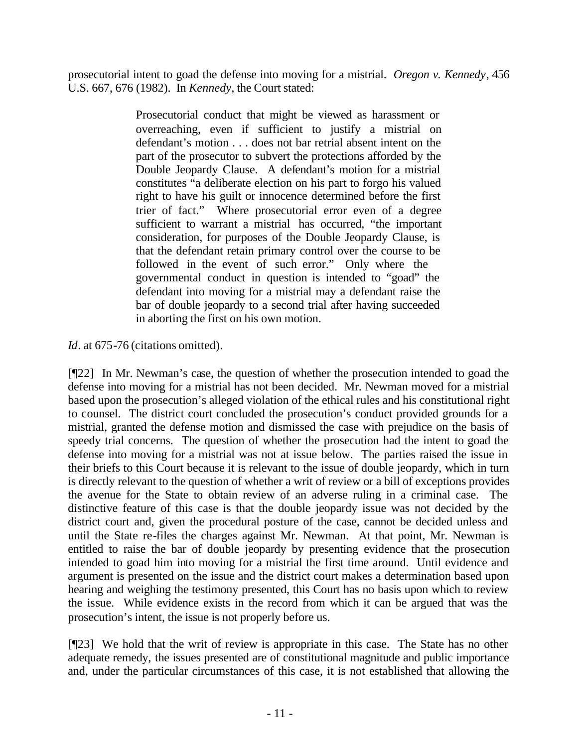prosecutorial intent to goad the defense into moving for a mistrial. *Oregon v. Kennedy*, 456 U.S. 667, 676 (1982). In *Kennedy*, the Court stated:

> Prosecutorial conduct that might be viewed as harassment or overreaching, even if sufficient to justify a mistrial on defendant's motion . . . does not bar retrial absent intent on the part of the prosecutor to subvert the protections afforded by the Double Jeopardy Clause. A defendant's motion for a mistrial constitutes "a deliberate election on his part to forgo his valued right to have his guilt or innocence determined before the first trier of fact." Where prosecutorial error even of a degree sufficient to warrant a mistrial has occurred, "the important consideration, for purposes of the Double Jeopardy Clause, is that the defendant retain primary control over the course to be followed in the event of such error." Only where the governmental conduct in question is intended to "goad" the defendant into moving for a mistrial may a defendant raise the bar of double jeopardy to a second trial after having succeeded in aborting the first on his own motion.

*Id*. at 675-76 (citations omitted).

[¶22] In Mr. Newman's case, the question of whether the prosecution intended to goad the defense into moving for a mistrial has not been decided. Mr. Newman moved for a mistrial based upon the prosecution's alleged violation of the ethical rules and his constitutional right to counsel. The district court concluded the prosecution's conduct provided grounds for a mistrial, granted the defense motion and dismissed the case with prejudice on the basis of speedy trial concerns. The question of whether the prosecution had the intent to goad the defense into moving for a mistrial was not at issue below. The parties raised the issue in their briefs to this Court because it is relevant to the issue of double jeopardy, which in turn is directly relevant to the question of whether a writ of review or a bill of exceptions provides the avenue for the State to obtain review of an adverse ruling in a criminal case. The distinctive feature of this case is that the double jeopardy issue was not decided by the district court and, given the procedural posture of the case, cannot be decided unless and until the State re-files the charges against Mr. Newman. At that point, Mr. Newman is entitled to raise the bar of double jeopardy by presenting evidence that the prosecution intended to goad him into moving for a mistrial the first time around. Until evidence and argument is presented on the issue and the district court makes a determination based upon hearing and weighing the testimony presented, this Court has no basis upon which to review the issue. While evidence exists in the record from which it can be argued that was the prosecution's intent, the issue is not properly before us.

[¶23] We hold that the writ of review is appropriate in this case. The State has no other adequate remedy, the issues presented are of constitutional magnitude and public importance and, under the particular circumstances of this case, it is not established that allowing the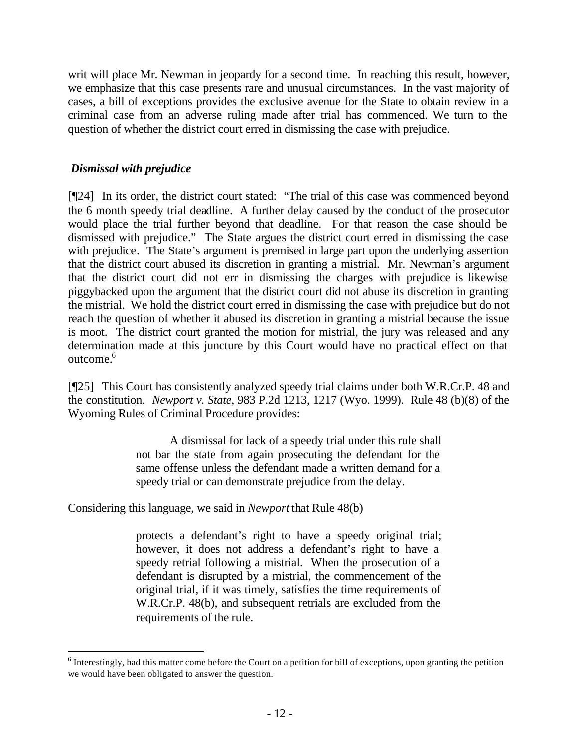writ will place Mr. Newman in jeopardy for a second time. In reaching this result, however, we emphasize that this case presents rare and unusual circumstances. In the vast majority of cases, a bill of exceptions provides the exclusive avenue for the State to obtain review in a criminal case from an adverse ruling made after trial has commenced. We turn to the question of whether the district court erred in dismissing the case with prejudice.

### *Dismissal with prejudice*

l

[¶24] In its order, the district court stated: "The trial of this case was commenced beyond the 6 month speedy trial deadline. A further delay caused by the conduct of the prosecutor would place the trial further beyond that deadline. For that reason the case should be dismissed with prejudice." The State argues the district court erred in dismissing the case with prejudice. The State's argument is premised in large part upon the underlying assertion that the district court abused its discretion in granting a mistrial. Mr. Newman's argument that the district court did not err in dismissing the charges with prejudice is likewise piggybacked upon the argument that the district court did not abuse its discretion in granting the mistrial. We hold the district court erred in dismissing the case with prejudice but do not reach the question of whether it abused its discretion in granting a mistrial because the issue is moot. The district court granted the motion for mistrial, the jury was released and any determination made at this juncture by this Court would have no practical effect on that outcome.<sup>6</sup>

[¶25] This Court has consistently analyzed speedy trial claims under both W.R.Cr.P. 48 and the constitution. *Newport v. State*, 983 P.2d 1213, 1217 (Wyo. 1999). Rule 48 (b)(8) of the Wyoming Rules of Criminal Procedure provides:

> A dismissal for lack of a speedy trial under this rule shall not bar the state from again prosecuting the defendant for the same offense unless the defendant made a written demand for a speedy trial or can demonstrate prejudice from the delay.

Considering this language, we said in *Newport* that Rule 48(b)

protects a defendant's right to have a speedy original trial; however, it does not address a defendant's right to have a speedy retrial following a mistrial. When the prosecution of a defendant is disrupted by a mistrial, the commencement of the original trial, if it was timely, satisfies the time requirements of W.R.Cr.P. 48(b), and subsequent retrials are excluded from the requirements of the rule.

 $6$  Interestingly, had this matter come before the Court on a petition for bill of exceptions, upon granting the petition we would have been obligated to answer the question.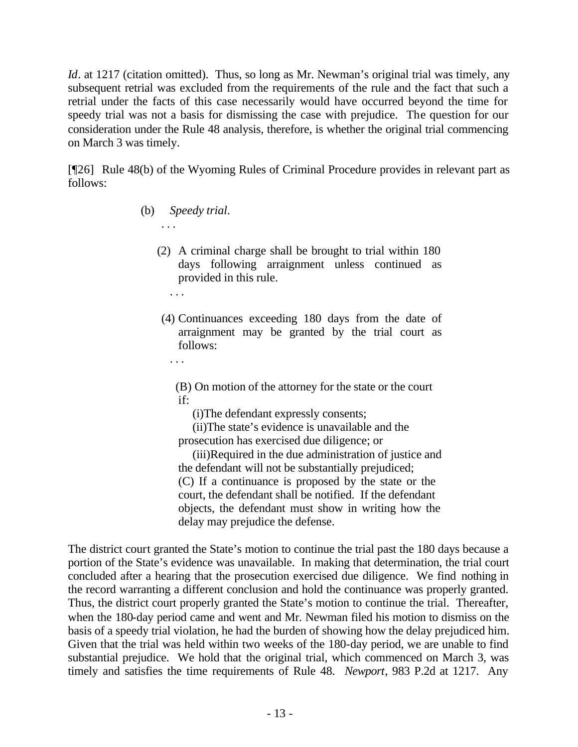*Id.* at 1217 (citation omitted). Thus, so long as Mr. Newman's original trial was timely, any subsequent retrial was excluded from the requirements of the rule and the fact that such a retrial under the facts of this case necessarily would have occurred beyond the time for speedy trial was not a basis for dismissing the case with prejudice. The question for our consideration under the Rule 48 analysis, therefore, is whether the original trial commencing on March 3 was timely.

[¶26] Rule 48(b) of the Wyoming Rules of Criminal Procedure provides in relevant part as follows:

(b) *Speedy trial*.

. . .

- (2) A criminal charge shall be brought to trial within 180 days following arraignment unless continued as provided in this rule.
- (4) Continuances exceeding 180 days from the date of arraignment may be granted by the trial court as follows:
	- . . .

. . .

(B) On motion of the attorney for the state or the court if:

(i)The defendant expressly consents;

(ii)The state's evidence is unavailable and the prosecution has exercised due diligence; or

(iii)Required in the due administration of justice and the defendant will not be substantially prejudiced; (C) If a continuance is proposed by the state or the court, the defendant shall be notified. If the defendant objects, the defendant must show in writing how the delay may prejudice the defense.

The district court granted the State's motion to continue the trial past the 180 days because a portion of the State's evidence was unavailable. In making that determination, the trial court concluded after a hearing that the prosecution exercised due diligence. We find nothing in the record warranting a different conclusion and hold the continuance was properly granted. Thus, the district court properly granted the State's motion to continue the trial. Thereafter, when the 180-day period came and went and Mr. Newman filed his motion to dismiss on the basis of a speedy trial violation, he had the burden of showing how the delay prejudiced him. Given that the trial was held within two weeks of the 180-day period, we are unable to find substantial prejudice. We hold that the original trial, which commenced on March 3, was timely and satisfies the time requirements of Rule 48. *Newport*, 983 P.2d at 1217. Any